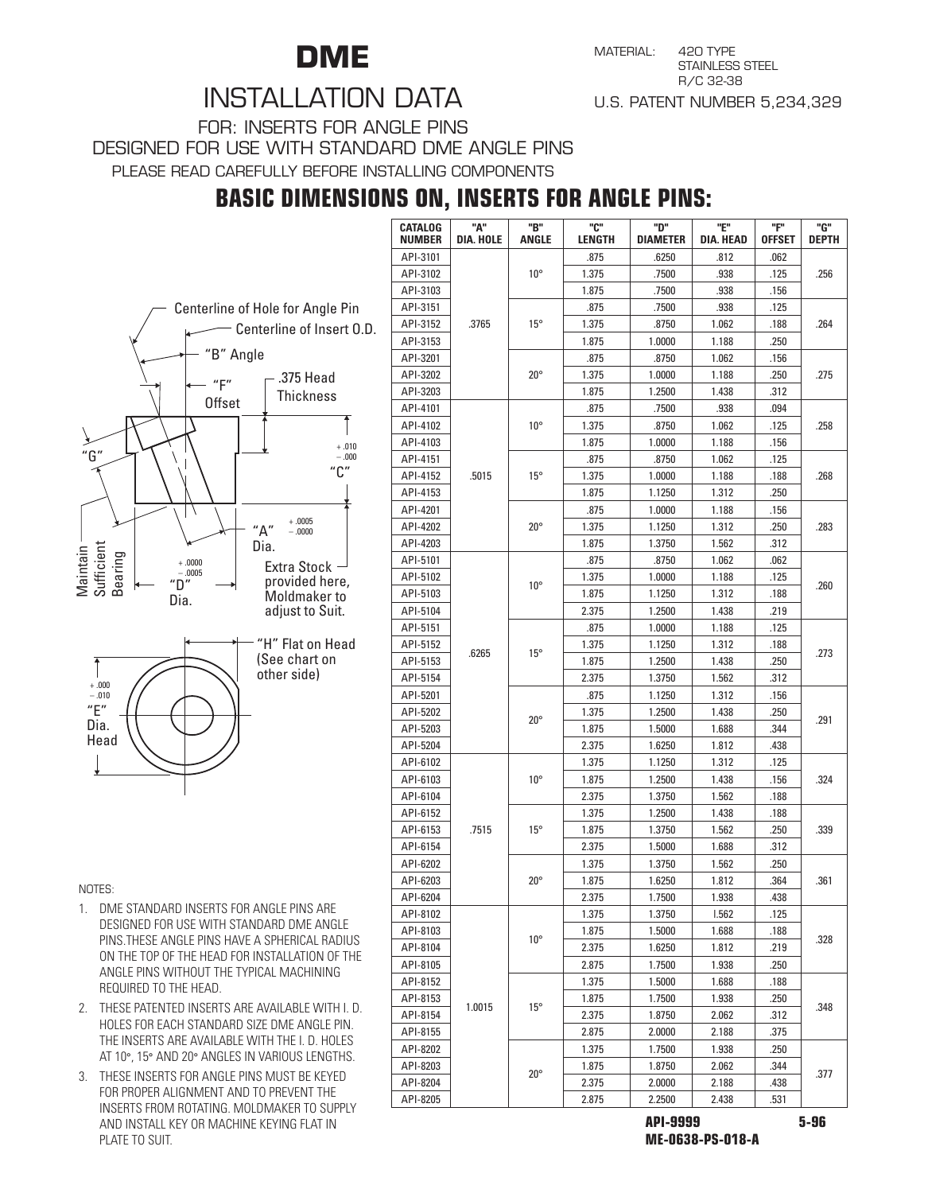

MATERIAL: 420 TYPE STAINLESS STEEl R/C 32-38 U.S. PATENT NUMBER 5,234,329

## INSTALLATION DATA

For: INSERTS FOR ANGLE PINS DESIGNED FOR USE WITH STANDARD DME ANGLE PINS

Please read carefully before installing components

### **BASIC DIMENSIONS ON, INSERTS FOR ANGLE PINS:**





**NOTES:** 

- 1. DME STANDARD INSERTS FOR ANGLE PINS ARE DESIGNED FOR USE WITH STANDARD DME ANGLE PINS.THESE ANGLE PINS HAVE A SPHERICAL RADIUS ON THE TOP OF THE HEAD FOR INSTALLATION OF THE ANGLE PINS WITHOUT THE TYPICAL MACHINING REQUIRED TO THE HEAD.
- 2. THESE PATENTED INSERTS ARE AVAILABLE WITH I. D. HOLES FOR EACH STANDARD SIZE DME ANGLE PIN. THE INSERTS ARE AVAILABLE WITH THE I. D. HOLES AT 10°, 15° AND 20° ANGLES IN VARIOUS LENGTHS.
- 3. THESE INSERTS FOR ANGLE PINS MUST BE KEYED FOR PROPER ALIGNMENT AND TO PREVENT THE INSERTS FROM ROTATING. MOLDMAKER TO SUPPLY AND INSTALL KEY OR MACHINE KEYING FLAT IN PLATE TO SUIT.

| <b>CATALOG</b> | "А"       | "B"          | "ር"    | "ט"             | "Е"              | "F"           | "G"          |  |
|----------------|-----------|--------------|--------|-----------------|------------------|---------------|--------------|--|
| <b>NUMBER</b>  | DIA. HOLE | <b>ANGLE</b> | LENGTH | <b>DIAMETER</b> | <b>DIA. HEAD</b> | <b>OFFSET</b> | <b>DEPTH</b> |  |
| API-3101       |           |              | .875   | .6250           | .812             | .062          |              |  |
| API-3102       |           | $10^{\circ}$ | 1.375  | .7500           | .938             | .125          | .256         |  |
| API-3103       |           |              | 1.875  | .7500           | .938             | .156          |              |  |
| API-3151       | .3765     | $15^{\circ}$ | .875   | .7500           | .938             | .125          | .264         |  |
| API-3152       |           |              | 1.375  | .8750           | 1.062            | .188          |              |  |
| API-3153       |           |              | 1.875  | 1.0000          | 1.188            | .250          |              |  |
| API-3201       |           |              | .875   | .8750           | 1.062            | .156          |              |  |
| API-3202       |           | $20^{\circ}$ | 1.375  | 1.0000          | 1.188            | .250          | .275         |  |
| API-3203       |           |              | 1.875  | 1.2500          | 1.438            | .312          |              |  |
| API-4101       |           |              | .875   | .7500           | .938             | .094          |              |  |
| API-4102       |           | $10^{\circ}$ | 1.375  | .8750           | 1.062            | .125          | .258         |  |
| API-4103       |           |              | 1.875  | 1.0000          | 1.188            | .156          |              |  |
| API-4151       |           |              | .875   | .8750           | 1.062            | .125          |              |  |
| API-4152       | .5015     | $15^{\circ}$ | 1.375  | 1.0000          | 1.188            | .188          | .268         |  |
| API-4153       |           |              | 1.875  | 1.1250          | 1.312            | .250          |              |  |
| API-4201       |           |              | .875   | 1.0000          | 1.188            | .156          |              |  |
| API-4202       |           | $20^{\circ}$ | 1.375  | 1.1250          | 1.312            | .250          | .283         |  |
| API-4203       |           |              | 1.875  | 1.3750          | 1.562            | .312          |              |  |
| API-5101       |           |              | .875   | .8750           | 1.062            | .062          |              |  |
| API-5102       |           |              | 1.375  | 1.0000          | 1.188            | .125          |              |  |
| API-5103       |           | $10^{\circ}$ | 1.875  | 1.1250          | 1.312            | .188          | .260         |  |
| API-5104       |           |              | 2.375  | 1.2500          | 1.438            | .219          |              |  |
| API-5151       |           |              | .875   | 1.0000          | 1.188            | .125          |              |  |
| API-5152       |           |              | 1.375  | 1.1250          | 1.312            | .188          |              |  |
| API-5153       | .6265     | $15^{\circ}$ | 1.875  | 1.2500          | 1.438            | .250          | .273         |  |
| API-5154       |           |              | 2.375  | 1.3750          | 1.562            | .312          |              |  |
| API-5201       |           |              | .875   | 1.1250          | 1.312            | .156          |              |  |
| API-5202       |           |              | 1.375  | 1.2500          | 1.438            | .250          |              |  |
| API-5203       |           | $20^{\circ}$ | 1.875  | 1.5000          | 1.688            | .344          | .291         |  |
| API-5204       |           |              | 2.375  | 1.6250          | 1.812            | .438          |              |  |
| API-6102       |           |              | 1.375  | 1.1250          | 1.312            | .125          |              |  |
| API-6103       |           | $10^{\circ}$ | 1.875  | 1.2500          | 1.438            | .156          | .324         |  |
| API-6104       |           |              | 2.375  | 1.3750          | 1.562            | .188          |              |  |
| API-6152       |           | $15^{\circ}$ | 1.375  | 1.2500          | 1.438            | .188          | .339         |  |
| API-6153       | .7515     |              | 1.875  | 1.3750          | 1.562            | .250          |              |  |
| API-6154       |           |              | 2.375  | 1.5000          | 1.688            | .312          |              |  |
| API-6202       |           |              | 1.375  | 1.3750          | 1.562            | .250          |              |  |
| API-6203       |           | $20^{\circ}$ | 1.875  | 1.6250          | 1.812            | .364          | .361         |  |
| API-6204       |           |              | 2.375  | 1.7500          | 1.938            | .438          |              |  |
| API-8102       |           |              | 1.375  | 1.3750          | 1.562            | .125          |              |  |
| API-8103       |           |              | 1.875  | 1.5000          | 1.688            | .188          |              |  |
| API-8104       |           | $10^{\circ}$ | 2.375  | 1.6250          | 1.812            | .219          | .328         |  |
| API-8105       |           |              | 2.875  | 1.7500          | 1.938            |               |              |  |
|                |           |              |        | 1.5000          |                  | .250          |              |  |
| API-8152       |           |              | 1.375  |                 | 1.688            | .188          |              |  |
| API-8153       | 1.0015    | $15^{\circ}$ | 1.875  | 1.7500          | 1.938            | .250          | .348         |  |
| API-8154       |           |              | 2.375  | 1.8750          | 2.062            | .312          |              |  |
| API-8155       |           |              | 2.875  | 2.0000          | 2.188            | .375          |              |  |
| API-8202       |           |              | 1.375  | 1.7500          | 1.938            | .250          |              |  |
| API-8203       |           | $20^{\circ}$ | 1.875  | 1.8750          | 2.062            | .344          | .377         |  |
| API-8204       |           |              | 2.375  | 2.0000          | 2.188            | .438          |              |  |
| API-8205       |           |              | 2.875  | 2.2500          | 2.438            | .531          |              |  |